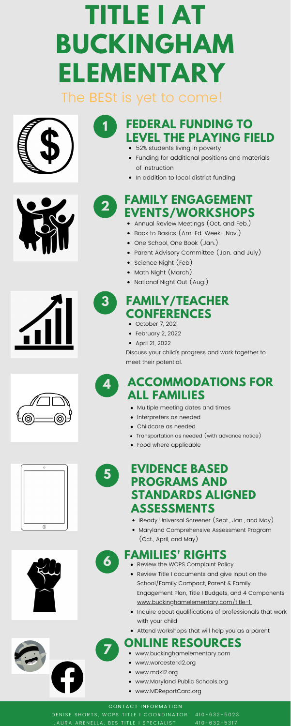# **TITLE I AT BUCKINGHAM ELEMENTARY** The BESt is yet to come!





- Annual Review Meetings (Oct. and Feb.)
- Back to Basics (Am. Ed. Week- Nov.)
- One School, One Book (Jan.)
- Parent Advisory Committee (Jan. and July)
- Science Night (Feb)

- Math Night (March)
- National Night Out (Aug.)

### **FAMILY ENGAGEMENT EVENTS/WORKSHOPS**

**2**

- 
- Review Title I documents and give input on the School/Family Compact, Parent & Family Engagement Plan, Title I Budgets, and 4 Components www.buckinghamelementary.com/title-1
- Inquire about qualifications of professionals that work with your child
- Attend workshops that will help you as a parent
- iReady Universal Screener (Sept., Jan., and May)
- Maryland Comprehensive Assessment Program (Oct., April, and May)

## **6 FAMILIES' RIGHTS**

- 52% students living in poverty
- Funding for additional positions and materials of instruction
- In addition to local district funding

# **ONLINE RESOURCES <sup>7</sup>** www.buckinghamelementary.com

- 
- www.worcesterk12.org
- www.mdk12.org
- www.Maryland Public Schools.org
- www.MDReportCard.org

#### CONTACT INFORMATION

DENISE SHORTS, WCPS TITLE I COORDINATOR 410-632-5023 LAURA ARENELLA, BES TITLE I SPECIALIST 410-632-5317









### **ACCOMMODATIONS FOR ALL FAMILIES**

**4**

- Multiple meeting dates and times
- Interpreters as needed
- Childcare as needed
- 





- Transportation as needed (with advance notice)
- Food where applicable

### **FAMILY/TEACHER CONFERENCES**

**3**

- October 7, 2021
- February 2, 2022
- April 21, 2022

Discuss your child's progress and work together to meet their potential.

### **EVIDENCE BASED PROGRAMS AND STANDARDS ALIGNED ASSESSMENTS**

**5**

### **FEDERAL FUNDING TO LEVEL THE PLAYING FIELD**

**1**